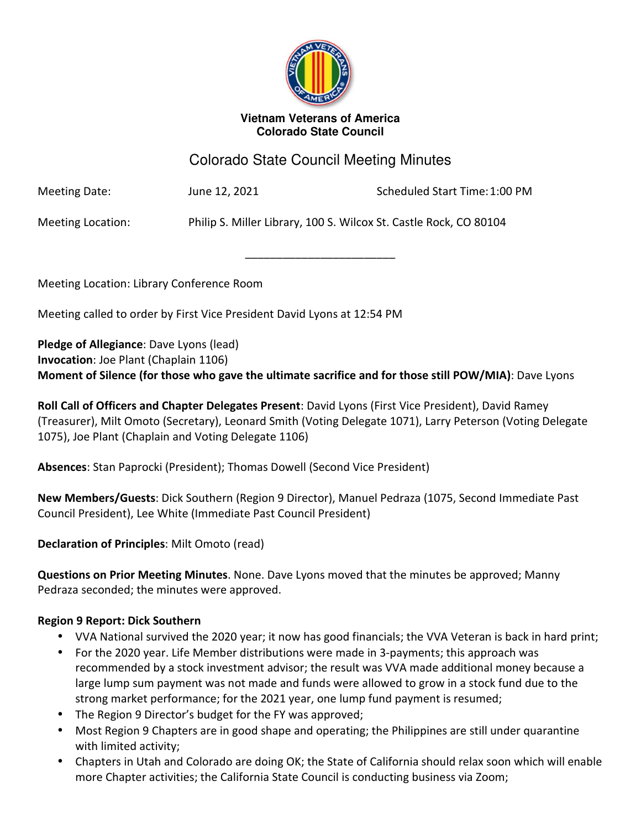

#### **Vietnam Veterans of America Colorado State Council**

# Colorado State Council Meeting Minutes

\_\_\_\_\_\_\_\_\_\_\_\_\_\_\_\_\_\_\_\_\_\_\_\_

Meeting Date: June 12, 2021 Scheduled Start Time: 1:00 PM

Meeting Location: Philip S. Miller Library, 100 S. Wilcox St. Castle Rock, CO 80104

Meeting Location: Library Conference Room

Meeting called to order by First Vice President David Lyons at 12:54 PM

**Pledge of Allegiance**: Dave Lyons (lead) **Invocation**: Joe Plant (Chaplain 1106) **Moment of Silence (for those who gave the ultimate sacrifice and for those still POW/MIA)**: Dave Lyons

**Roll Call of Officers and Chapter Delegates Present**: David Lyons (First Vice President), David Ramey (Treasurer), Milt Omoto (Secretary), Leonard Smith (Voting Delegate 1071), Larry Peterson (Voting Delegate 1075), Joe Plant (Chaplain and Voting Delegate 1106)

**Absences**: Stan Paprocki (President); Thomas Dowell (Second Vice President)

**New Members/Guests**: Dick Southern (Region 9 Director), Manuel Pedraza (1075, Second Immediate Past Council President), Lee White (Immediate Past Council President)

**Declaration of Principles**: Milt Omoto (read)

**Questions on Prior Meeting Minutes**. None. Dave Lyons moved that the minutes be approved; Manny Pedraza seconded; the minutes were approved.

# **Region 9 Report: Dick Southern**

- VVA National survived the 2020 year; it now has good financials; the VVA Veteran is back in hard print;
- For the 2020 year. Life Member distributions were made in 3-payments; this approach was recommended by a stock investment advisor; the result was VVA made additional money because a large lump sum payment was not made and funds were allowed to grow in a stock fund due to the strong market performance; for the 2021 year, one lump fund payment is resumed;
- The Region 9 Director's budget for the FY was approved;
- Most Region 9 Chapters are in good shape and operating; the Philippines are still under quarantine with limited activity;
- Chapters in Utah and Colorado are doing OK; the State of California should relax soon which will enable more Chapter activities; the California State Council is conducting business via Zoom;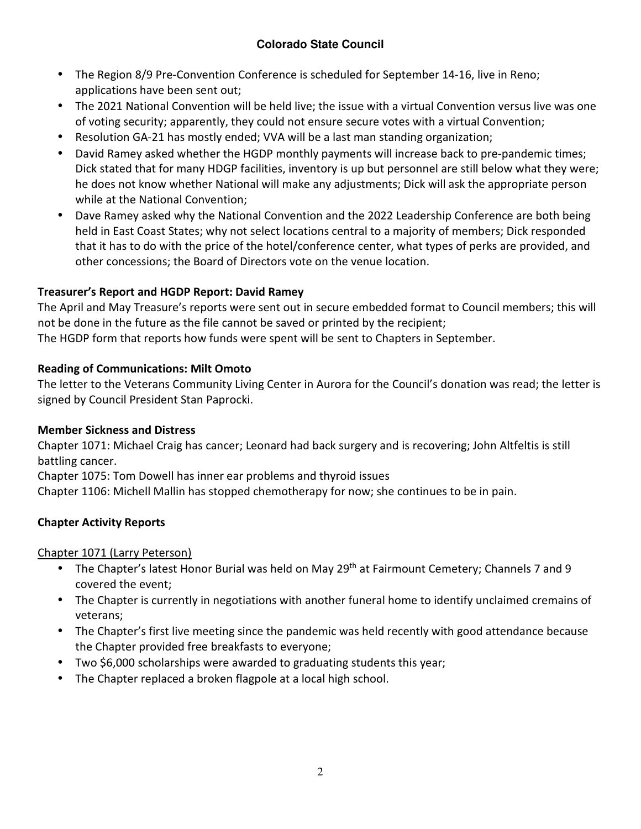- The Region 8/9 Pre-Convention Conference is scheduled for September 14-16, live in Reno; applications have been sent out;
- The 2021 National Convention will be held live; the issue with a virtual Convention versus live was one of voting security; apparently, they could not ensure secure votes with a virtual Convention;
- Resolution GA-21 has mostly ended; VVA will be a last man standing organization;
- David Ramey asked whether the HGDP monthly payments will increase back to pre-pandemic times; Dick stated that for many HDGP facilities, inventory is up but personnel are still below what they were; he does not know whether National will make any adjustments; Dick will ask the appropriate person while at the National Convention;
- Dave Ramey asked why the National Convention and the 2022 Leadership Conference are both being held in East Coast States; why not select locations central to a majority of members; Dick responded that it has to do with the price of the hotel/conference center, what types of perks are provided, and other concessions; the Board of Directors vote on the venue location.

# **Treasurer's Report and HGDP Report: David Ramey**

The April and May Treasure's reports were sent out in secure embedded format to Council members; this will not be done in the future as the file cannot be saved or printed by the recipient;

The HGDP form that reports how funds were spent will be sent to Chapters in September.

# **Reading of Communications: Milt Omoto**

The letter to the Veterans Community Living Center in Aurora for the Council's donation was read; the letter is signed by Council President Stan Paprocki.

# **Member Sickness and Distress**

Chapter 1071: Michael Craig has cancer; Leonard had back surgery and is recovering; John Altfeltis is still battling cancer.

Chapter 1075: Tom Dowell has inner ear problems and thyroid issues

Chapter 1106: Michell Mallin has stopped chemotherapy for now; she continues to be in pain.

# **Chapter Activity Reports**

# Chapter 1071 (Larry Peterson)

- The Chapter's latest Honor Burial was held on May 29<sup>th</sup> at Fairmount Cemetery; Channels 7 and 9 covered the event;
- The Chapter is currently in negotiations with another funeral home to identify unclaimed cremains of veterans;
- The Chapter's first live meeting since the pandemic was held recently with good attendance because the Chapter provided free breakfasts to everyone;
- Two \$6,000 scholarships were awarded to graduating students this year;
- The Chapter replaced a broken flagpole at a local high school.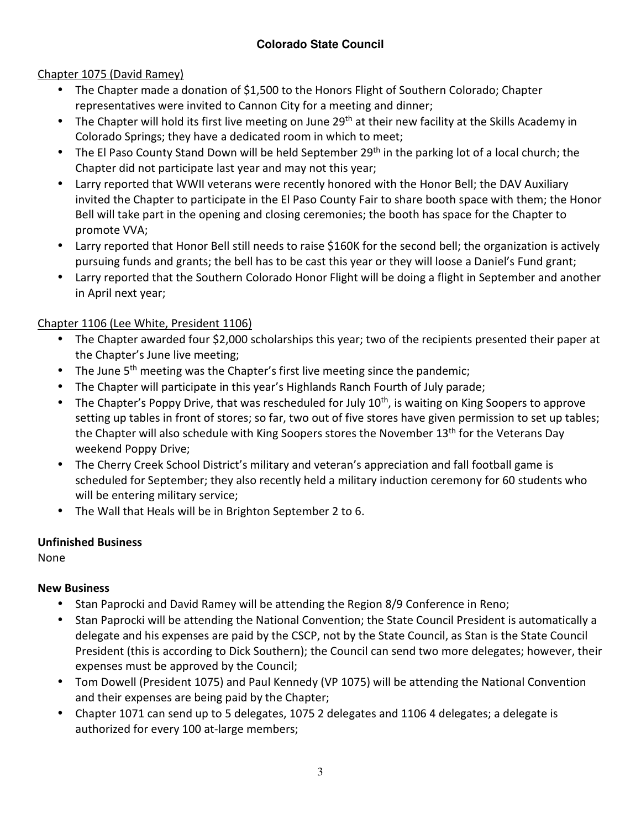# Chapter 1075 (David Ramey)

- The Chapter made a donation of \$1,500 to the Honors Flight of Southern Colorado; Chapter representatives were invited to Cannon City for a meeting and dinner;
- The Chapter will hold its first live meeting on June 29<sup>th</sup> at their new facility at the Skills Academy in Colorado Springs; they have a dedicated room in which to meet;
- The El Paso County Stand Down will be held September 29<sup>th</sup> in the parking lot of a local church; the Chapter did not participate last year and may not this year;
- Larry reported that WWII veterans were recently honored with the Honor Bell; the DAV Auxiliary invited the Chapter to participate in the El Paso County Fair to share booth space with them; the Honor Bell will take part in the opening and closing ceremonies; the booth has space for the Chapter to promote VVA;
- Larry reported that Honor Bell still needs to raise \$160K for the second bell; the organization is actively pursuing funds and grants; the bell has to be cast this year or they will loose a Daniel's Fund grant;
- Larry reported that the Southern Colorado Honor Flight will be doing a flight in September and another in April next year;

# Chapter 1106 (Lee White, President 1106)

- The Chapter awarded four \$2,000 scholarships this year; two of the recipients presented their paper at the Chapter's June live meeting;
- The June  $5<sup>th</sup>$  meeting was the Chapter's first live meeting since the pandemic;
- The Chapter will participate in this year's Highlands Ranch Fourth of July parade;
- The Chapter's Poppy Drive, that was rescheduled for July 10<sup>th</sup>, is waiting on King Soopers to approve setting up tables in front of stores; so far, two out of five stores have given permission to set up tables; the Chapter will also schedule with King Soopers stores the November 13<sup>th</sup> for the Veterans Day weekend Poppy Drive;
- The Cherry Creek School District's military and veteran's appreciation and fall football game is scheduled for September; they also recently held a military induction ceremony for 60 students who will be entering military service;
- The Wall that Heals will be in Brighton September 2 to 6.

# **Unfinished Business**

None

# **New Business**

- Stan Paprocki and David Ramey will be attending the Region 8/9 Conference in Reno;
- Stan Paprocki will be attending the National Convention; the State Council President is automatically a delegate and his expenses are paid by the CSCP, not by the State Council, as Stan is the State Council President (this is according to Dick Southern); the Council can send two more delegates; however, their expenses must be approved by the Council;
- Tom Dowell (President 1075) and Paul Kennedy (VP 1075) will be attending the National Convention and their expenses are being paid by the Chapter;
- Chapter 1071 can send up to 5 delegates, 1075 2 delegates and 1106 4 delegates; a delegate is authorized for every 100 at-large members;